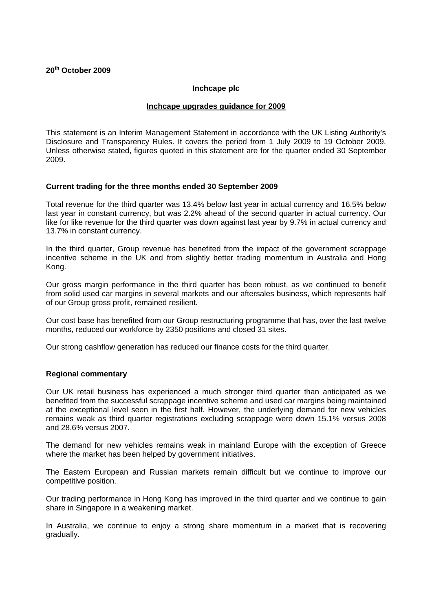# **20th October 2009**

#### **Inchcape plc**

### **Inchcape upgrades guidance for 2009**

This statement is an Interim Management Statement in accordance with the UK Listing Authority's Disclosure and Transparency Rules. It covers the period from 1 July 2009 to 19 October 2009. Unless otherwise stated, figures quoted in this statement are for the quarter ended 30 September 2009.

### **Current trading for the three months ended 30 September 2009**

Total revenue for the third quarter was 13.4% below last year in actual currency and 16.5% below last year in constant currency, but was 2.2% ahead of the second quarter in actual currency. Our like for like revenue for the third quarter was down against last year by 9.7% in actual currency and 13.7% in constant currency.

In the third quarter, Group revenue has benefited from the impact of the government scrappage incentive scheme in the UK and from slightly better trading momentum in Australia and Hong Kong.

Our gross margin performance in the third quarter has been robust, as we continued to benefit from solid used car margins in several markets and our aftersales business, which represents half of our Group gross profit, remained resilient.

Our cost base has benefited from our Group restructuring programme that has, over the last twelve months, reduced our workforce by 2350 positions and closed 31 sites.

Our strong cashflow generation has reduced our finance costs for the third quarter.

# **Regional commentary**

Our UK retail business has experienced a much stronger third quarter than anticipated as we benefited from the successful scrappage incentive scheme and used car margins being maintained at the exceptional level seen in the first half. However, the underlying demand for new vehicles remains weak as third quarter registrations excluding scrappage were down 15.1% versus 2008 and 28.6% versus 2007.

The demand for new vehicles remains weak in mainland Europe with the exception of Greece where the market has been helped by government initiatives.

The Eastern European and Russian markets remain difficult but we continue to improve our competitive position.

Our trading performance in Hong Kong has improved in the third quarter and we continue to gain share in Singapore in a weakening market.

In Australia, we continue to enjoy a strong share momentum in a market that is recovering gradually.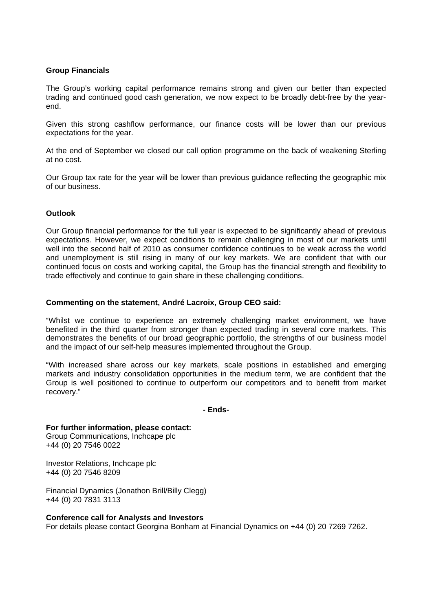# **Group Financials**

The Group's working capital performance remains strong and given our better than expected trading and continued good cash generation, we now expect to be broadly debt-free by the yearend.

Given this strong cashflow performance, our finance costs will be lower than our previous expectations for the year.

At the end of September we closed our call option programme on the back of weakening Sterling at no cost.

Our Group tax rate for the year will be lower than previous guidance reflecting the geographic mix of our business.

# **Outlook**

Our Group financial performance for the full year is expected to be significantly ahead of previous expectations. However, we expect conditions to remain challenging in most of our markets until well into the second half of 2010 as consumer confidence continues to be weak across the world and unemployment is still rising in many of our key markets. We are confident that with our continued focus on costs and working capital, the Group has the financial strength and flexibility to trade effectively and continue to gain share in these challenging conditions.

## **Commenting on the statement, André Lacroix, Group CEO said:**

"Whilst we continue to experience an extremely challenging market environment, we have benefited in the third quarter from stronger than expected trading in several core markets. This demonstrates the benefits of our broad geographic portfolio, the strengths of our business model and the impact of our self-help measures implemented throughout the Group.

"With increased share across our key markets, scale positions in established and emerging markets and industry consolidation opportunities in the medium term, we are confident that the Group is well positioned to continue to outperform our competitors and to benefit from market recovery."

#### **- Ends-**

**For further information, please contact:** Group Communications, Inchcape plc +44 (0) 20 7546 0022

Investor Relations, Inchcape plc +44 (0) 20 7546 8209

Financial Dynamics (Jonathon Brill/Billy Clegg) +44 (0) 20 7831 3113

#### **Conference call for Analysts and Investors**

For details please contact Georgina Bonham at Financial Dynamics on +44 (0) 20 7269 7262.